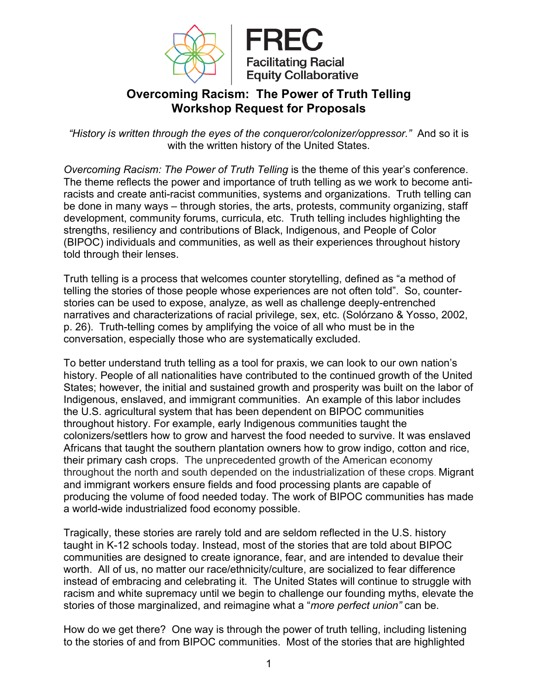



# **Overcoming Racism: The Power of Truth Telling Workshop Request for Proposals**

*"History is written through the eyes of the conqueror/colonizer/oppressor."* And so it is with the written history of the United States.

*Overcoming Racism: The Power of Truth Telling* is the theme of this year's conference. The theme reflects the power and importance of truth telling as we work to become antiracists and create anti-racist communities, systems and organizations. Truth telling can be done in many ways – through stories, the arts, protests, community organizing, staff development, community forums, curricula, etc. Truth telling includes highlighting the strengths, resiliency and contributions of Black, Indigenous, and People of Color (BIPOC) individuals and communities, as well as their experiences throughout history told through their lenses.

Truth telling is a process that welcomes counter storytelling, defined as "a method of telling the stories of those people whose experiences are not often told". So, counterstories can be used to expose, analyze, as well as challenge deeply-entrenched narratives and characterizations of racial privilege, sex, etc. (Solórzano & Yosso, 2002, p. 26). Truth-telling comes by amplifying the voice of all who must be in the conversation, especially those who are systematically excluded.

To better understand truth telling as a tool for praxis, we can look to our own nation's history. People of all nationalities have contributed to the continued growth of the United States; however, the initial and sustained growth and prosperity was built on the labor of Indigenous, enslaved, and immigrant communities. An example of this labor includes the U.S. agricultural system that has been dependent on BIPOC communities throughout history. For example, early Indigenous communities taught the colonizers/settlers how to grow and harvest the food needed to survive. It was enslaved Africans that taught the southern plantation owners how to grow indigo, cotton and rice, their primary cash crops. The unprecedented growth of the American economy throughout the north and south depended on the industrialization of these crops. Migrant and immigrant workers ensure fields and food processing plants are capable of producing the volume of food needed today. The work of BIPOC communities has made a world-wide industrialized food economy possible.

Tragically, these stories are rarely told and are seldom reflected in the U.S. history taught in K-12 schools today. Instead, most of the stories that are told about BIPOC communities are designed to create ignorance, fear, and are intended to devalue their worth. All of us, no matter our race/ethnicity/culture, are socialized to fear difference instead of embracing and celebrating it. The United States will continue to struggle with racism and white supremacy until we begin to challenge our founding myths, elevate the stories of those marginalized, and reimagine what a "*more perfect union"* can be.

How do we get there? One way is through the power of truth telling, including listening to the stories of and from BIPOC communities. Most of the stories that are highlighted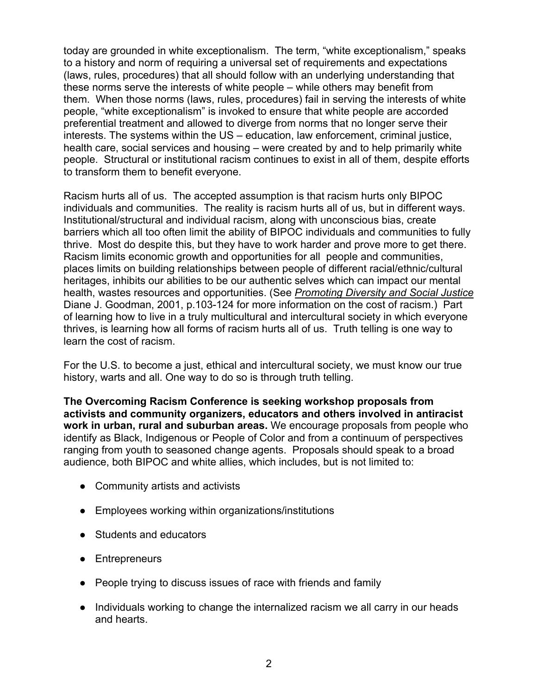today are grounded in white exceptionalism. The term, "white exceptionalism," speaks to a history and norm of requiring a universal set of requirements and expectations (laws, rules, procedures) that all should follow with an underlying understanding that these norms serve the interests of white people – while others may benefit from them. When those norms (laws, rules, procedures) fail in serving the interests of white people, "white exceptionalism" is invoked to ensure that white people are accorded preferential treatment and allowed to diverge from norms that no longer serve their interests. The systems within the US – education, law enforcement, criminal justice, health care, social services and housing – were created by and to help primarily white people. Structural or institutional racism continues to exist in all of them, despite efforts to transform them to benefit everyone.

Racism hurts all of us. The accepted assumption is that racism hurts only BIPOC individuals and communities. The reality is racism hurts all of us, but in different ways. Institutional/structural and individual racism, along with unconscious bias, create barriers which all too often limit the ability of BIPOC individuals and communities to fully thrive. Most do despite this, but they have to work harder and prove more to get there. Racism limits economic growth and opportunities for all people and communities, places limits on building relationships between people of different racial/ethnic/cultural heritages, inhibits our abilities to be our authentic selves which can impact our mental health, wastes resources and opportunities. (See *Promoting Diversity and Social Justice*  Diane J. Goodman, 2001, p.103-124 for more information on the cost of racism.) Part of learning how to live in a truly multicultural and intercultural society in which everyone thrives, is learning how all forms of racism hurts all of us. Truth telling is one way to learn the cost of racism.

For the U.S. to become a just, ethical and intercultural society, we must know our true history, warts and all. One way to do so is through truth telling.

**The Overcoming Racism Conference is seeking workshop proposals from activists and community organizers, educators and others involved in antiracist work in urban, rural and suburban areas.** We encourage proposals from people who identify as Black, Indigenous or People of Color and from a continuum of perspectives ranging from youth to seasoned change agents. Proposals should speak to a broad audience, both BIPOC and white allies, which includes, but is not limited to:

- Community artists and activists
- Employees working within organizations/institutions
- Students and educators
- Entrepreneurs
- People trying to discuss issues of race with friends and family
- Individuals working to change the internalized racism we all carry in our heads and hearts.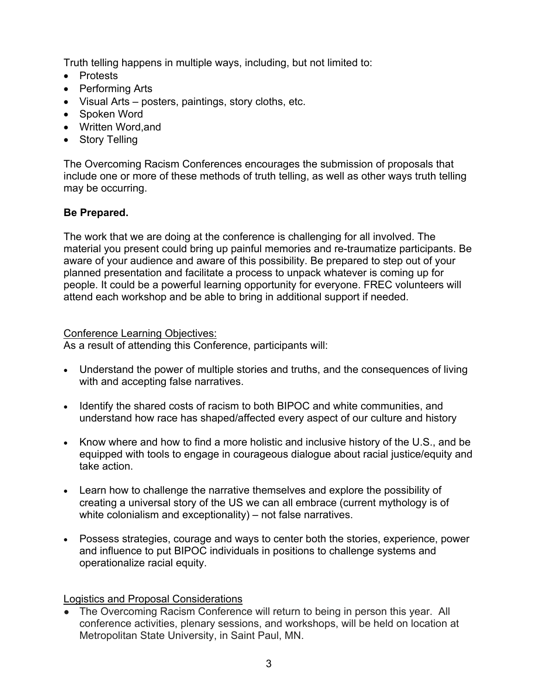Truth telling happens in multiple ways, including, but not limited to:

- Protests
- Performing Arts
- Visual Arts posters, paintings, story cloths, etc.
- Spoken Word
- Written Word,and
- Story Telling

The Overcoming Racism Conferences encourages the submission of proposals that include one or more of these methods of truth telling, as well as other ways truth telling may be occurring.

## **Be Prepared.**

The work that we are doing at the conference is challenging for all involved. The material you present could bring up painful memories and re-traumatize participants. Be aware of your audience and aware of this possibility. Be prepared to step out of your planned presentation and facilitate a process to unpack whatever is coming up for people. It could be a powerful learning opportunity for everyone. FREC volunteers will attend each workshop and be able to bring in additional support if needed.

### Conference Learning Objectives:

As a result of attending this Conference, participants will:

- Understand the power of multiple stories and truths, and the consequences of living with and accepting false narratives.
- Identify the shared costs of racism to both BIPOC and white communities, and understand how race has shaped/affected every aspect of our culture and history
- Know where and how to find a more holistic and inclusive history of the U.S., and be equipped with tools to engage in courageous dialogue about racial justice/equity and take action.
- Learn how to challenge the narrative themselves and explore the possibility of creating a universal story of the US we can all embrace (current mythology is of white colonialism and exceptionality) – not false narratives.
- Possess strategies, courage and ways to center both the stories, experience, power and influence to put BIPOC individuals in positions to challenge systems and operationalize racial equity.

## Logistics and Proposal Considerations

• The Overcoming Racism Conference will return to being in person this year. All conference activities, plenary sessions, and workshops, will be held on location at Metropolitan State University, in Saint Paul, MN.